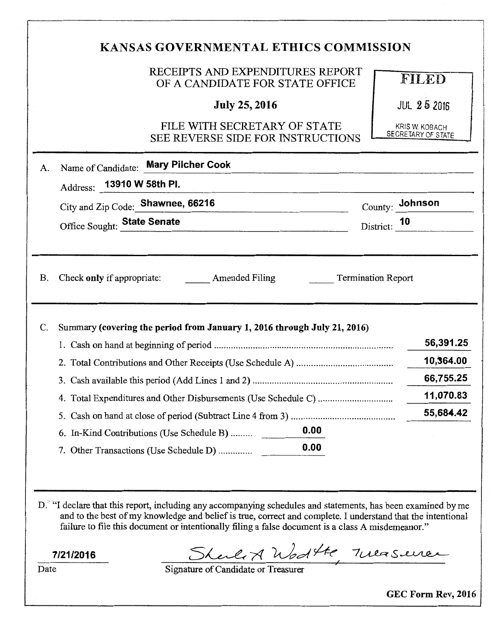|                 | RECEIPTS AND EXPENDITURES REPORT<br>OF A CANDIDATE FOR STATE OFFICE                                                                                                                                                                                                                                                              | FILED                                |
|-----------------|----------------------------------------------------------------------------------------------------------------------------------------------------------------------------------------------------------------------------------------------------------------------------------------------------------------------------------|--------------------------------------|
|                 | <b>July 25, 2016</b>                                                                                                                                                                                                                                                                                                             | <b>JUL 25 2016</b>                   |
|                 | FILE WITH SECRETARY OF STATE<br>SEE REVERSE SIDE FOR INSTRUCTIONS                                                                                                                                                                                                                                                                | KRIS W. KOBACH<br>SECRETARY OF STATE |
| A.              | Name of Candidate: Mary Pilcher Cook                                                                                                                                                                                                                                                                                             |                                      |
|                 | Address: 13910 W 58th PI.<br>n van die Britse van die Britse van die Britse van die Britse van die Britse van die Britse van die Britse van<br>Die Britse van die Britse van die Britse van die Britse van die Britse van die Britse van die Britse van die B                                                                    |                                      |
|                 | City and Zip Code: Shawnee, 66216                                                                                                                                                                                                                                                                                                | $County:$ Johnson                    |
|                 | Office Sought: State Senate                                                                                                                                                                                                                                                                                                      | District: $10$                       |
| <b>B.</b><br>C. | Check only if appropriate: Amended Filing Termination Report<br>Summary (covering the period from January 1, 2016 through July 21, 2016)                                                                                                                                                                                         | 56,391.25                            |
|                 |                                                                                                                                                                                                                                                                                                                                  | 10,364.00<br>66,755.25               |
|                 |                                                                                                                                                                                                                                                                                                                                  | 11,070.83                            |
|                 |                                                                                                                                                                                                                                                                                                                                  | 55,684.42                            |
|                 | 0.00<br>6. In-Kind Contributions (Use Schedule B)                                                                                                                                                                                                                                                                                |                                      |
|                 | 0.00<br>7. Other Transactions (Use Schedule D)                                                                                                                                                                                                                                                                                   |                                      |
|                 | D. "I declare that this report, including any accompanying schedules and statements, has been examined by me<br>and to the best of my knowledge and belief is true, correct and complete. I understand that the intentional<br>failure to file this document or intentionally filing a false document is a class A misdemeanor." |                                      |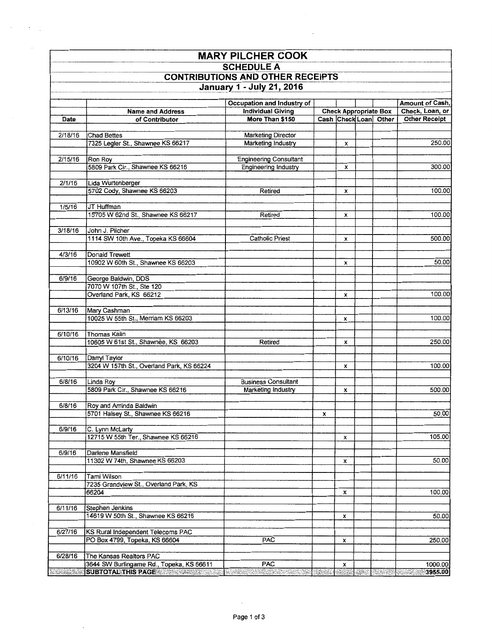| <b>MARY PILCHER COOK</b>                                                                  |                                                                                                                                                                                                                                                                            |                               |   |   |  |                       |                                                                                                                   |  |  |  |  |  |  |                                    |
|-------------------------------------------------------------------------------------------|----------------------------------------------------------------------------------------------------------------------------------------------------------------------------------------------------------------------------------------------------------------------------|-------------------------------|---|---|--|-----------------------|-------------------------------------------------------------------------------------------------------------------|--|--|--|--|--|--|------------------------------------|
| <b>SCHEDULE A</b><br><b>CONTRIBUTIONS AND OTHER RECEIPTS</b><br>January 1 - July 21, 2016 |                                                                                                                                                                                                                                                                            |                               |   |   |  |                       |                                                                                                                   |  |  |  |  |  |  |                                    |
|                                                                                           |                                                                                                                                                                                                                                                                            |                               |   |   |  |                       |                                                                                                                   |  |  |  |  |  |  |                                    |
|                                                                                           |                                                                                                                                                                                                                                                                            |                               |   |   |  |                       | Occupation and Industry of<br><b>Check Appropriate Box</b><br><b>Individual Giving</b><br><b>Name and Address</b> |  |  |  |  |  |  | Amount of Cash,<br>Check, Loan, or |
| Date                                                                                      | of Contributor                                                                                                                                                                                                                                                             | More Than \$150               |   |   |  | Cash Check Loan Other | <b>Other Receipt</b>                                                                                              |  |  |  |  |  |  |                                    |
|                                                                                           |                                                                                                                                                                                                                                                                            |                               |   |   |  |                       |                                                                                                                   |  |  |  |  |  |  |                                    |
| 2/18/16                                                                                   | <b>Chad Bettes</b>                                                                                                                                                                                                                                                         | <b>Marketing Director</b>     |   |   |  |                       |                                                                                                                   |  |  |  |  |  |  |                                    |
|                                                                                           | 7325 Legler St., Shawnee KS 66217                                                                                                                                                                                                                                          | Marketing Industry            |   | x |  |                       | 250.00                                                                                                            |  |  |  |  |  |  |                                    |
| 2/15/16                                                                                   | Ron Roy                                                                                                                                                                                                                                                                    | <b>Engineering Consultant</b> |   |   |  |                       |                                                                                                                   |  |  |  |  |  |  |                                    |
|                                                                                           | 5809 Park Cir., Shawnee KS 66216                                                                                                                                                                                                                                           | Engineering Industry          |   | x |  |                       | 300.00                                                                                                            |  |  |  |  |  |  |                                    |
|                                                                                           |                                                                                                                                                                                                                                                                            |                               |   |   |  |                       |                                                                                                                   |  |  |  |  |  |  |                                    |
| 2/1/16                                                                                    | Lida Wurtenberger                                                                                                                                                                                                                                                          |                               |   |   |  |                       |                                                                                                                   |  |  |  |  |  |  |                                    |
|                                                                                           | 5702 Cody, Shawnee KS 66203                                                                                                                                                                                                                                                | Retired                       |   | x |  |                       | 100.00                                                                                                            |  |  |  |  |  |  |                                    |
| 1/5/16                                                                                    | JT Huffman                                                                                                                                                                                                                                                                 |                               |   |   |  |                       |                                                                                                                   |  |  |  |  |  |  |                                    |
|                                                                                           | 15705 W 62nd St., Shawnee KS 66217                                                                                                                                                                                                                                         | Retired                       |   | x |  |                       | 100.00                                                                                                            |  |  |  |  |  |  |                                    |
|                                                                                           |                                                                                                                                                                                                                                                                            |                               |   |   |  |                       |                                                                                                                   |  |  |  |  |  |  |                                    |
| 3/18/16                                                                                   | John J. Pilcher                                                                                                                                                                                                                                                            |                               |   |   |  |                       |                                                                                                                   |  |  |  |  |  |  |                                    |
|                                                                                           | 1114 SW 10th Ave., Topeka KS 66604                                                                                                                                                                                                                                         | <b>Catholic Priest</b>        |   | x |  |                       | 500.00                                                                                                            |  |  |  |  |  |  |                                    |
| 4/3/16                                                                                    | Donald Trewett                                                                                                                                                                                                                                                             |                               |   |   |  |                       |                                                                                                                   |  |  |  |  |  |  |                                    |
|                                                                                           | 10902 W 60th St., Shawnee KS 66203                                                                                                                                                                                                                                         |                               |   | x |  |                       | 50.00                                                                                                             |  |  |  |  |  |  |                                    |
|                                                                                           |                                                                                                                                                                                                                                                                            |                               |   |   |  |                       |                                                                                                                   |  |  |  |  |  |  |                                    |
| 6/9/16                                                                                    | George Baldwin, DDS                                                                                                                                                                                                                                                        |                               |   |   |  |                       |                                                                                                                   |  |  |  |  |  |  |                                    |
|                                                                                           | 7070 W 107th St., Ste 120                                                                                                                                                                                                                                                  |                               |   |   |  |                       |                                                                                                                   |  |  |  |  |  |  |                                    |
|                                                                                           | Overland Park, KS 66212                                                                                                                                                                                                                                                    |                               |   | x |  |                       | 100.00                                                                                                            |  |  |  |  |  |  |                                    |
| 6/13/16                                                                                   | Mary Cashman                                                                                                                                                                                                                                                               |                               |   |   |  |                       |                                                                                                                   |  |  |  |  |  |  |                                    |
|                                                                                           | 10025 W 55th St., Merriam KS 66203                                                                                                                                                                                                                                         |                               |   | x |  |                       | 100.00                                                                                                            |  |  |  |  |  |  |                                    |
|                                                                                           |                                                                                                                                                                                                                                                                            |                               |   |   |  |                       |                                                                                                                   |  |  |  |  |  |  |                                    |
| 6/10/16                                                                                   | Thomas Kalin                                                                                                                                                                                                                                                               |                               |   |   |  |                       |                                                                                                                   |  |  |  |  |  |  |                                    |
|                                                                                           | 10605 W 61st St., Shawnee, KS 66203                                                                                                                                                                                                                                        | Retired                       |   | x |  |                       | 250.00                                                                                                            |  |  |  |  |  |  |                                    |
| 6/10/16                                                                                   | Darryl Taylor                                                                                                                                                                                                                                                              |                               |   |   |  |                       |                                                                                                                   |  |  |  |  |  |  |                                    |
|                                                                                           | 3204 W 157th St., Overland Park, KS 66224                                                                                                                                                                                                                                  |                               |   | x |  |                       | 100.00                                                                                                            |  |  |  |  |  |  |                                    |
|                                                                                           |                                                                                                                                                                                                                                                                            |                               |   |   |  |                       |                                                                                                                   |  |  |  |  |  |  |                                    |
| 6/8/16                                                                                    | Linda Roy                                                                                                                                                                                                                                                                  | <b>Business Consultant</b>    |   |   |  |                       | 500.00                                                                                                            |  |  |  |  |  |  |                                    |
|                                                                                           | 5809 Park Cir., Shawnee KS 66216                                                                                                                                                                                                                                           | Marketing Industry            |   | x |  |                       |                                                                                                                   |  |  |  |  |  |  |                                    |
| 6/8/16                                                                                    | Roy and Aminda Baldwin                                                                                                                                                                                                                                                     |                               |   |   |  |                       |                                                                                                                   |  |  |  |  |  |  |                                    |
|                                                                                           | 5701 Halsey St., Shawnee KS 66216                                                                                                                                                                                                                                          |                               | x |   |  |                       | 50.00                                                                                                             |  |  |  |  |  |  |                                    |
|                                                                                           |                                                                                                                                                                                                                                                                            |                               |   |   |  |                       |                                                                                                                   |  |  |  |  |  |  |                                    |
| 6/9/16                                                                                    | C. Lynn McLarty<br>12715 W 55th Ter., Shawnee KS 66216                                                                                                                                                                                                                     |                               |   | x |  |                       | 105.00                                                                                                            |  |  |  |  |  |  |                                    |
|                                                                                           |                                                                                                                                                                                                                                                                            |                               |   |   |  |                       |                                                                                                                   |  |  |  |  |  |  |                                    |
| 6/9/16                                                                                    | Darlene Mansfield                                                                                                                                                                                                                                                          |                               |   |   |  |                       |                                                                                                                   |  |  |  |  |  |  |                                    |
|                                                                                           | 11302 W 74th, Shawnee KS 66203                                                                                                                                                                                                                                             |                               |   | x |  |                       | 50.00                                                                                                             |  |  |  |  |  |  |                                    |
|                                                                                           |                                                                                                                                                                                                                                                                            |                               |   |   |  |                       |                                                                                                                   |  |  |  |  |  |  |                                    |
| 6/11/16                                                                                   | Tami Wilson<br>7235 Grandview St., Overland Park, KS                                                                                                                                                                                                                       |                               |   |   |  |                       |                                                                                                                   |  |  |  |  |  |  |                                    |
|                                                                                           | 66204                                                                                                                                                                                                                                                                      |                               |   | x |  |                       | 100.00                                                                                                            |  |  |  |  |  |  |                                    |
|                                                                                           |                                                                                                                                                                                                                                                                            |                               |   |   |  |                       |                                                                                                                   |  |  |  |  |  |  |                                    |
| 6/11/16                                                                                   | Stephen Jenkins                                                                                                                                                                                                                                                            |                               |   |   |  |                       |                                                                                                                   |  |  |  |  |  |  |                                    |
|                                                                                           | 14619 W 50th St., Shawnee KS 66216                                                                                                                                                                                                                                         |                               |   | x |  |                       | 50.00                                                                                                             |  |  |  |  |  |  |                                    |
| 6/27/16                                                                                   | KS Rural Independent Telecoms PAC                                                                                                                                                                                                                                          |                               |   |   |  |                       |                                                                                                                   |  |  |  |  |  |  |                                    |
|                                                                                           | PO Box 4799, Topeka, KS 66604                                                                                                                                                                                                                                              | PAC                           |   | x |  |                       | 250.00                                                                                                            |  |  |  |  |  |  |                                    |
|                                                                                           |                                                                                                                                                                                                                                                                            |                               |   |   |  |                       |                                                                                                                   |  |  |  |  |  |  |                                    |
| 6/28/16                                                                                   | The Kansas Realtors PAC                                                                                                                                                                                                                                                    |                               |   |   |  |                       |                                                                                                                   |  |  |  |  |  |  |                                    |
|                                                                                           | 3644 SW Burlingame Rd., Topeka, KS 66611<br>SUBTOTAL THIS PAGE AND RESIDENCE AND RELEASED FOR A STRINGER CONTROL OF STRINGER CONTROL IN A STRINGER OF STRINGER CONTROL OF STRINGER CONTROL OF STRINGER CONTROL OF STRINGER CONTROL OF STRINGER CONTROL OF STRINGER CONTROL | PAC                           |   | x |  |                       | 1000.00<br>$\sim$ $\sim$ 3955.00                                                                                  |  |  |  |  |  |  |                                    |
|                                                                                           |                                                                                                                                                                                                                                                                            |                               |   |   |  |                       |                                                                                                                   |  |  |  |  |  |  |                                    |

 $\sim 5-1$ 

 $\sim$   $\sim$ 

 $\bar{z}$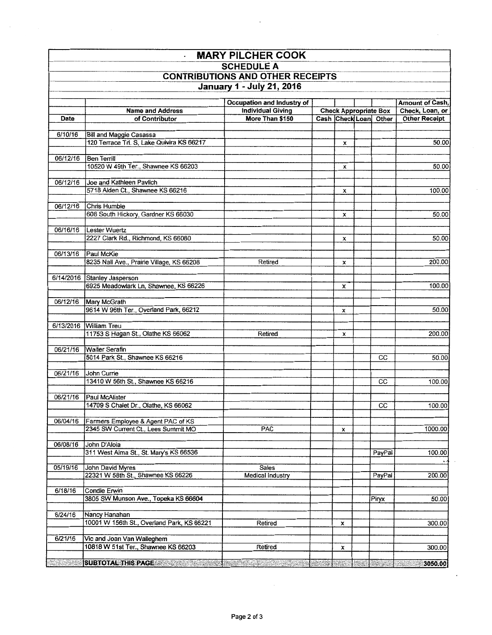| <b>MARY PILCHER COOK</b>                                                                         |                                                                                                               |                                  |  |   |  |        |         |                                                                                                                   |                 |  |  |  |                       |                                    |
|--------------------------------------------------------------------------------------------------|---------------------------------------------------------------------------------------------------------------|----------------------------------|--|---|--|--------|---------|-------------------------------------------------------------------------------------------------------------------|-----------------|--|--|--|-----------------------|------------------------------------|
| <b>SCHEDULE A</b><br><b>CONTRIBUTIONS AND OTHER RECEIPTS</b><br><b>January 1 - July 21, 2016</b> |                                                                                                               |                                  |  |   |  |        |         |                                                                                                                   |                 |  |  |  |                       |                                    |
|                                                                                                  |                                                                                                               |                                  |  |   |  |        |         | Occupation and Industry of<br><b>Check Appropriate Box</b><br><b>Individual Giving</b><br><b>Name and Address</b> |                 |  |  |  |                       | Amount of Cash,<br>Check, Loan, or |
|                                                                                                  |                                                                                                               |                                  |  |   |  |        | Date    | of Contributor                                                                                                    | More Than \$150 |  |  |  | Cash Check Loan Other | <b>Other Receipt</b>               |
|                                                                                                  |                                                                                                               |                                  |  |   |  |        |         |                                                                                                                   |                 |  |  |  |                       |                                    |
| 6/10/16                                                                                          | Bill and Maggie Casassa                                                                                       |                                  |  |   |  |        |         |                                                                                                                   |                 |  |  |  |                       |                                    |
|                                                                                                  | 120 Terrace Trl. S, Lake Quivira KS 66217                                                                     |                                  |  | x |  |        | 50.00   |                                                                                                                   |                 |  |  |  |                       |                                    |
| 06/12/16                                                                                         | Ben Terrill                                                                                                   |                                  |  |   |  |        |         |                                                                                                                   |                 |  |  |  |                       |                                    |
|                                                                                                  | 10520 W 49th Ter., Shawnee KS 66203                                                                           |                                  |  | x |  |        | 50.00   |                                                                                                                   |                 |  |  |  |                       |                                    |
|                                                                                                  |                                                                                                               |                                  |  |   |  |        |         |                                                                                                                   |                 |  |  |  |                       |                                    |
| 06/12/16                                                                                         | Joe and Kathleen Pavlich                                                                                      |                                  |  |   |  |        |         |                                                                                                                   |                 |  |  |  |                       |                                    |
|                                                                                                  | 5718 Alden Ct., Shawnee KS 66216                                                                              |                                  |  | x |  |        | 100.00  |                                                                                                                   |                 |  |  |  |                       |                                    |
| 06/12/16                                                                                         | Chris Humble                                                                                                  |                                  |  |   |  |        |         |                                                                                                                   |                 |  |  |  |                       |                                    |
|                                                                                                  | 608 South Hickory, Gardner KS 66030                                                                           |                                  |  | x |  |        | 50.00   |                                                                                                                   |                 |  |  |  |                       |                                    |
|                                                                                                  |                                                                                                               |                                  |  |   |  |        |         |                                                                                                                   |                 |  |  |  |                       |                                    |
| 06/16/16                                                                                         | Lester Wuertz                                                                                                 |                                  |  |   |  |        |         |                                                                                                                   |                 |  |  |  |                       |                                    |
|                                                                                                  | 2227 Clark Rd., Richmond, KS 66080                                                                            |                                  |  | x |  |        | 50.00   |                                                                                                                   |                 |  |  |  |                       |                                    |
| 06/13/16                                                                                         | Paul McKie                                                                                                    |                                  |  |   |  |        |         |                                                                                                                   |                 |  |  |  |                       |                                    |
|                                                                                                  | 8235 Nall Ave., Prairie Village, KS 66208                                                                     | Retired                          |  | x |  |        | 200.00  |                                                                                                                   |                 |  |  |  |                       |                                    |
|                                                                                                  |                                                                                                               |                                  |  |   |  |        |         |                                                                                                                   |                 |  |  |  |                       |                                    |
|                                                                                                  | 6/14/2016 Stanley Jasperson                                                                                   |                                  |  |   |  |        |         |                                                                                                                   |                 |  |  |  |                       |                                    |
|                                                                                                  | 6925 Meadowlark Ln, Shawnee, KS 66226                                                                         |                                  |  | x |  |        | 100.00  |                                                                                                                   |                 |  |  |  |                       |                                    |
| 06/12/16                                                                                         | <b>Mary McGrath</b>                                                                                           |                                  |  |   |  |        |         |                                                                                                                   |                 |  |  |  |                       |                                    |
|                                                                                                  | 9614 W 96th Ter., Overland Park, 66212                                                                        |                                  |  | x |  |        | 50.00   |                                                                                                                   |                 |  |  |  |                       |                                    |
|                                                                                                  |                                                                                                               |                                  |  |   |  |        |         |                                                                                                                   |                 |  |  |  |                       |                                    |
|                                                                                                  | 6/13/2016 William Treu                                                                                        |                                  |  |   |  |        |         |                                                                                                                   |                 |  |  |  |                       |                                    |
|                                                                                                  | 11753 S Hagan St., Olathe KS 66062                                                                            | Retired                          |  | x |  |        | 200.00  |                                                                                                                   |                 |  |  |  |                       |                                    |
| 06/21/16                                                                                         | <b>Walter Serafin</b>                                                                                         |                                  |  |   |  |        |         |                                                                                                                   |                 |  |  |  |                       |                                    |
|                                                                                                  | 5014 Park St., Shawnee KS 66216                                                                               |                                  |  |   |  | CC     | 50.00   |                                                                                                                   |                 |  |  |  |                       |                                    |
|                                                                                                  |                                                                                                               |                                  |  |   |  |        |         |                                                                                                                   |                 |  |  |  |                       |                                    |
| 06/21/16                                                                                         | John Currie                                                                                                   |                                  |  |   |  |        |         |                                                                                                                   |                 |  |  |  |                       |                                    |
|                                                                                                  | 13410 W 56th St., Shawnee KS 66216                                                                            |                                  |  |   |  | cc     | 100.00  |                                                                                                                   |                 |  |  |  |                       |                                    |
| 06/21/16                                                                                         | <b>Paul McAlister</b>                                                                                         |                                  |  |   |  |        |         |                                                                                                                   |                 |  |  |  |                       |                                    |
|                                                                                                  | 14709 S Chalet Dr., Olathe, KS 66062                                                                          |                                  |  |   |  | CС     | 100.00  |                                                                                                                   |                 |  |  |  |                       |                                    |
|                                                                                                  |                                                                                                               |                                  |  |   |  |        |         |                                                                                                                   |                 |  |  |  |                       |                                    |
| 06/04/16                                                                                         | Farmers Employee & Agent PAC of KS                                                                            |                                  |  |   |  |        | 1000.00 |                                                                                                                   |                 |  |  |  |                       |                                    |
|                                                                                                  | 2345 SW Current Ct., Lees Summit MO                                                                           | <b>PAC</b>                       |  | x |  |        |         |                                                                                                                   |                 |  |  |  |                       |                                    |
| 06/08/16                                                                                         | John D'Aloia                                                                                                  |                                  |  |   |  |        |         |                                                                                                                   |                 |  |  |  |                       |                                    |
|                                                                                                  | 311 West Alma St., St. Mary's KS 66536                                                                        |                                  |  |   |  | PayPal | 100.00  |                                                                                                                   |                 |  |  |  |                       |                                    |
|                                                                                                  |                                                                                                               |                                  |  |   |  |        |         |                                                                                                                   |                 |  |  |  |                       |                                    |
| 05/19/16                                                                                         | John David Myres<br>22321 W 58th St., Shawnee KS 66226                                                        | Sales<br><b>Medical Industry</b> |  |   |  | PayPal | 200.00  |                                                                                                                   |                 |  |  |  |                       |                                    |
|                                                                                                  |                                                                                                               |                                  |  |   |  |        |         |                                                                                                                   |                 |  |  |  |                       |                                    |
| 6/18/16                                                                                          | Condie Erwin                                                                                                  |                                  |  |   |  |        |         |                                                                                                                   |                 |  |  |  |                       |                                    |
|                                                                                                  | 3805 SW Munson Ave., Topeka KS 66604                                                                          |                                  |  |   |  | Piryx  | 50.00   |                                                                                                                   |                 |  |  |  |                       |                                    |
| 6/24/16                                                                                          |                                                                                                               |                                  |  |   |  |        |         |                                                                                                                   |                 |  |  |  |                       |                                    |
|                                                                                                  | Nancy Hanahan<br>10001 W 156th St., Overland Park, KS 66221                                                   | Retired                          |  | x |  |        | 300.00  |                                                                                                                   |                 |  |  |  |                       |                                    |
|                                                                                                  |                                                                                                               |                                  |  |   |  |        |         |                                                                                                                   |                 |  |  |  |                       |                                    |
| 6/21/16                                                                                          | Vic and Joan Van Walleghem                                                                                    |                                  |  |   |  |        |         |                                                                                                                   |                 |  |  |  |                       |                                    |
|                                                                                                  | 10818 W 51st Ter., Shawnee KS 66203                                                                           | Retired                          |  | x |  |        | 300.00  |                                                                                                                   |                 |  |  |  |                       |                                    |
|                                                                                                  | SUBTOTAL THIS PAGE AND RESIDENCE IN A RELEASE AND RELEASE AND RELEASE AND RELEASE AND RELEASE AND SOLUTION OF |                                  |  |   |  |        |         |                                                                                                                   |                 |  |  |  |                       |                                    |
|                                                                                                  |                                                                                                               |                                  |  |   |  |        |         |                                                                                                                   |                 |  |  |  |                       |                                    |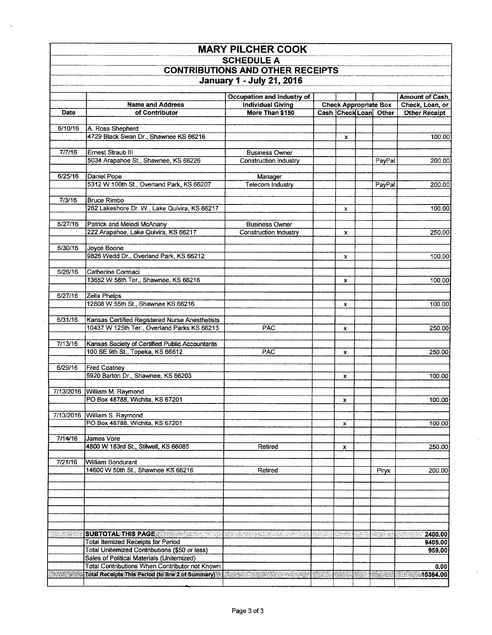| <b>MARY PILCHER COOK</b>                                     |                                                                                             |                          |  |         |    |                              |                           |
|--------------------------------------------------------------|---------------------------------------------------------------------------------------------|--------------------------|--|---------|----|------------------------------|---------------------------|
| <b>SCHEDULE A</b><br><b>CONTRIBUTIONS AND OTHER RECEIPTS</b> |                                                                                             |                          |  |         |    |                              |                           |
|                                                              |                                                                                             |                          |  |         |    |                              | January 1 - July 21, 2016 |
| Occupation and Industry of<br>Amount of Cash,                |                                                                                             |                          |  |         |    |                              |                           |
|                                                              | <b>Name and Address</b>                                                                     | <b>Individual Giving</b> |  |         |    | <b>Check Appropriate Box</b> | Check, Loan, or           |
| Date                                                         | of Contributor                                                                              | More Than \$150          |  |         |    | Cash Check Loan Other        | <b>Other Receipt</b>      |
|                                                              |                                                                                             |                          |  |         |    |                              |                           |
| 6/10/16                                                      | A. Ross Shepherd<br>4729 Black Swan Dr., Shawnee KS 66216                                   |                          |  | x       |    |                              | 100.00                    |
|                                                              |                                                                                             |                          |  |         |    |                              |                           |
| 7/7/16                                                       | Ernest Straub III                                                                           | <b>Business Owner</b>    |  |         |    |                              |                           |
|                                                              | 5034 Arapahoe St., Shawnee, KS 66226                                                        | Construction Industry    |  |         |    | PayPal                       | 200.00                    |
| 6/25/16                                                      | Daniel Pope                                                                                 | Manager                  |  |         |    |                              |                           |
|                                                              | 5312 W 100th St., Overland Park, KS 66207                                                   | Telecom Industry         |  |         |    | PayPal                       | 200.00                    |
|                                                              |                                                                                             |                          |  |         |    |                              |                           |
| 7/3/16                                                       | <b>Bruce Rimbo</b>                                                                          |                          |  |         |    |                              |                           |
|                                                              | 262 Lakeshore Dr. W., Lake Quivira, KS 66217                                                |                          |  | x       |    |                              | 100.00                    |
| 6/27/16                                                      | Patrick and Melodi McAnany                                                                  | <b>Business Owner</b>    |  |         |    |                              |                           |
|                                                              | 222 Arapahoe, Lake Quivira, KS 66217                                                        | Construction Industry    |  | x       |    |                              | 250.00                    |
|                                                              |                                                                                             |                          |  |         |    |                              |                           |
| 6/30/16                                                      | Joyce Boone<br>9826 Wedd Dr., Overland Park, KS 66212                                       |                          |  | x       |    |                              | 100.00                    |
|                                                              |                                                                                             |                          |  |         |    |                              |                           |
| 6/26/16                                                      | Catherine Cormaci                                                                           |                          |  |         |    |                              |                           |
|                                                              | 13652 W 58th Ter., Shawnee, KS 66216                                                        |                          |  | x       |    |                              | 100.00                    |
| 6/27/16                                                      | Zella Phelps                                                                                |                          |  |         |    |                              |                           |
|                                                              | 12808 W 55th St., Shawnee KS 66216                                                          |                          |  | x       |    |                              | 100.00                    |
|                                                              |                                                                                             |                          |  |         |    |                              |                           |
| 6/31/16                                                      | Kansas Certified Registered Nurse Anesthetists                                              |                          |  |         |    |                              |                           |
|                                                              | 10437 W 125th Ter., Overland Parks KS 66213                                                 | PAC                      |  | x       |    |                              | 250.00                    |
| 7/13/16                                                      | Kansas Society of Certified Public Accountants                                              |                          |  |         |    |                              |                           |
|                                                              | 100 SE 9th St., Topeka, KS 66612                                                            | PAC                      |  | x       |    |                              | 250.00                    |
| 6/29/16                                                      |                                                                                             |                          |  |         |    |                              |                           |
|                                                              | <b>Fred Coatney</b><br>5920 Barton Dr., Shawnee, KS 66203                                   |                          |  | x       |    |                              | 100.00                    |
|                                                              |                                                                                             |                          |  |         |    |                              |                           |
|                                                              | 7/13/2016 William M. Raymond                                                                |                          |  |         |    |                              |                           |
|                                                              | PO Box 48788, Wichita, KS 67201                                                             |                          |  | x       |    |                              | 100.00                    |
| 7/13/2016                                                    | William S. Raymond                                                                          |                          |  |         |    |                              |                           |
|                                                              | PO Box 48788, Wichita, KS 67201                                                             |                          |  | x       |    |                              | 100.00                    |
|                                                              |                                                                                             |                          |  |         |    |                              |                           |
| 7/14/16                                                      | James Vore<br>4800 W 183rd St., Stilwell, KS 66085                                          | Retired                  |  | x       |    |                              | 250.00                    |
|                                                              |                                                                                             |                          |  |         |    |                              |                           |
| 7/21/16                                                      | William Bondurant                                                                           |                          |  |         |    |                              |                           |
|                                                              | 14600 W 50th St., Shawnee KS 66216                                                          | Retired                  |  |         |    | Piryx                        | 200.00                    |
|                                                              |                                                                                             |                          |  |         |    |                              |                           |
|                                                              |                                                                                             |                          |  |         |    |                              |                           |
|                                                              |                                                                                             |                          |  |         |    |                              |                           |
|                                                              |                                                                                             |                          |  |         |    |                              |                           |
|                                                              |                                                                                             |                          |  |         |    |                              |                           |
| an Sa                                                        | SUBTOTAL THIS PAGE AND RESIDENCE AND RESIDENCE.                                             | an dan basa da sa        |  | an an a |    |                              | 2400.00                   |
|                                                              | <b>Total Itemized Receipts for Period</b>                                                   |                          |  |         |    |                              | 9405.00                   |
|                                                              | Total Uniternized Contributions (\$50 or less)<br>Sales of Political Materials (Unitemized) |                          |  |         |    |                              | 959.00                    |
|                                                              | Total Contributions When Contributor not Known                                              |                          |  |         |    |                              | 0.00                      |
|                                                              | Total Receipts This Period (to line 2 of Summary)                                           |                          |  | XARIS.  | A. | ang ing                      | 10364.00<br>Walio         |
|                                                              |                                                                                             |                          |  |         |    |                              |                           |

 $\bar{\mathbf{r}}$ 

l,

 $\ddot{\phantom{a}}$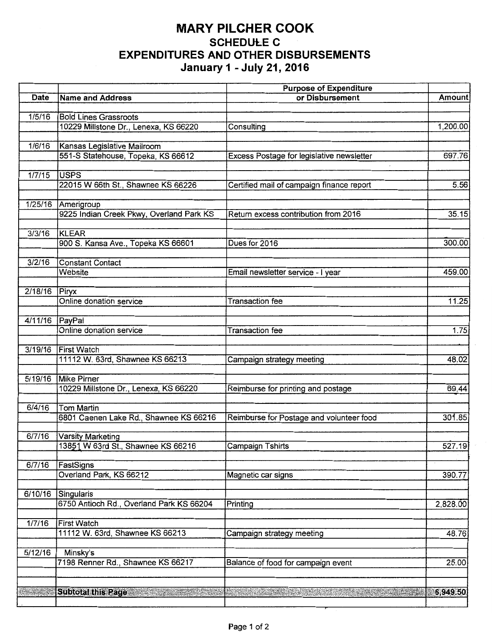## **MARY PILCHER COOK SCHEDULE C EXPENDITURES AND OTHER DISBURSEMENTS January 1 - July 21, 2016**

|                |                                                                   | <b>Purpose of Expenditure</b>             |          |
|----------------|-------------------------------------------------------------------|-------------------------------------------|----------|
| Date           | <b>Name and Address</b>                                           | or Disbursement                           | Amount   |
|                |                                                                   |                                           |          |
| 1/5/16         | <b>Bold Lines Grassroots</b>                                      |                                           |          |
|                | 10229 Millstone Dr., Lenexa, KS 66220                             | Consulting                                | 1,200.00 |
|                |                                                                   |                                           |          |
| 1/6/16         | Kansas Legislative Mailroom<br>551-S Statehouse, Topeka, KS 66612 |                                           | 697.76   |
|                |                                                                   | Excess Postage for legislative newsletter |          |
| 1/7/15         | <b>USPS</b>                                                       |                                           |          |
|                | 22015 W 66th St., Shawnee KS 66226                                | Certified mail of campaign finance report | 5.56     |
|                |                                                                   |                                           |          |
|                | 1/25/16 Amerigroup                                                |                                           |          |
|                | 9225 Indian Creek Pkwy, Overland Park KS                          | Return excess contribution from 2016      | 35.15    |
|                |                                                                   |                                           |          |
| 3/3/16         | KLEAR                                                             |                                           |          |
|                | 900 S. Kansa Ave., Topeka KS 66601                                | Dues for 2016                             | 300.00   |
|                |                                                                   |                                           |          |
| 3/2/16         | <b>Constant Contact</b>                                           |                                           |          |
|                | Website                                                           | Email newsletter service - I year         | 459.00   |
| 2/18/16        |                                                                   |                                           |          |
|                | Piryx<br>Online donation service                                  | <b>Transaction fee</b>                    | 11.25    |
|                |                                                                   |                                           |          |
| 4/11/16 PayPal |                                                                   |                                           |          |
|                | Online donation service                                           | <b>Transaction fee</b>                    | 1.75     |
|                |                                                                   |                                           |          |
| 3/19/16        | <b>First Watch</b>                                                |                                           |          |
|                | 11112 W. 63rd, Shawnee KS 66213                                   | Campaign strategy meeting                 | 48.02    |
|                |                                                                   |                                           |          |
| 5/19/16        | Mike Pirner                                                       |                                           |          |
|                | 10229 Millstone Dr., Lenexa, KS 66220                             | Reimburse for printing and postage        | 69.44    |
|                |                                                                   |                                           |          |
| 6/4/16         | <b>Tom Martin</b>                                                 |                                           | 301.85   |
|                | 6801 Caenen Lake Rd., Shawnee KS 66216                            | Reimburse for Postage and volunteer food  |          |
| 6/7/16         | Varsity Marketing                                                 |                                           |          |
|                | 13851 W 63rd St., Shawnee KS 66216                                | <b>Campaign Tshirts</b>                   | 527.19   |
|                |                                                                   |                                           |          |
| 6/7/16         | FastSigns                                                         |                                           |          |
|                | Overland Park, KS 66212                                           | Magnetic car signs                        | 390.77   |
|                |                                                                   |                                           |          |
| 6/10/16        | Singularis                                                        |                                           |          |
|                | 6750 Antioch Rd., Overland Park KS 66204                          | Printing                                  | 2,828.00 |
|                |                                                                   |                                           |          |
| 1/7/16         | <b>First Watch</b>                                                |                                           |          |
|                | 11112 W. 63rd, Shawnee KS 66213                                   | Campaign strategy meeting                 | 48.76    |
| 5/12/16        |                                                                   |                                           |          |
|                | Minsky's<br>7198 Renner Rd., Shawnee KS 66217                     | Balance of food for campaign event        | 25.00    |
|                |                                                                   |                                           |          |
|                |                                                                   |                                           |          |
|                | <b>Subtotal this Page</b>                                         |                                           | 6,949.50 |
|                |                                                                   |                                           |          |